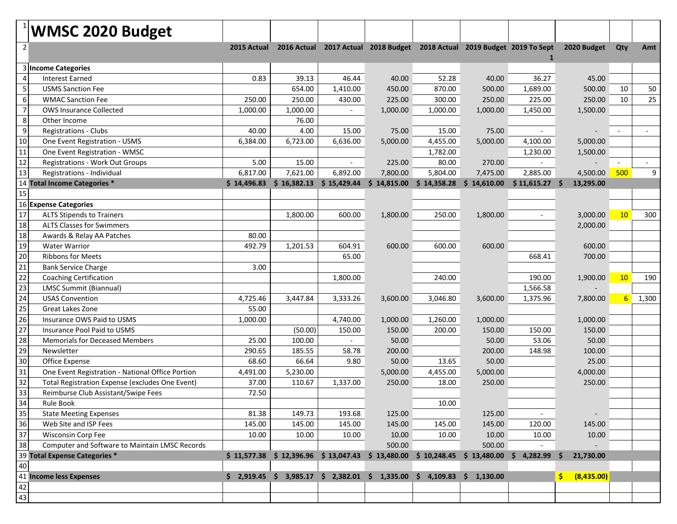|                                                             | <b>WMSC 2020 Budget</b>                                |             |                                                        |             |                                                                                      |                            |                          |                 |                |                |       |
|-------------------------------------------------------------|--------------------------------------------------------|-------------|--------------------------------------------------------|-------------|--------------------------------------------------------------------------------------|----------------------------|--------------------------|-----------------|----------------|----------------|-------|
| $\overline{2}$                                              |                                                        |             |                                                        |             | 2015 Actual 2016 Actual 2017 Actual 2018 Budget 2018 Actual 2019 Budget 2019 To Sept |                            |                          |                 | 2020 Budget    | Qty            | Amt   |
|                                                             | 3 Income Categories                                    |             |                                                        |             |                                                                                      |                            |                          | 1               |                |                |       |
| 4                                                           | <b>Interest Earned</b>                                 | 0.83        | 39.13                                                  | 46.44       | 40.00                                                                                | 52.28                      | 40.00                    | 36.27           | 45.00          |                |       |
| 5                                                           | <b>USMS Sanction Fee</b>                               |             | 654.00                                                 | 1,410.00    | 450.00                                                                               | 870.00                     | 500.00                   | 1,689.00        | 500.00         | 10             | 50    |
| $6 \mid$                                                    | <b>WMAC Sanction Fee</b>                               | 250.00      | 250.00                                                 | 430.00      | 225.00                                                                               | 300.00                     | 250.00                   | 225.00          | 250.00         | 10             | 25    |
| $\overline{7}$                                              | <b>OWS Insurance Collected</b>                         | 1,000.00    | 1,000.00                                               | $\sim$      | 1,000.00                                                                             | 1,000.00                   | 1,000.00                 | 1,450.00        | 1,500.00       |                |       |
| 8 <sup>2</sup>                                              | Other Income                                           |             | 76.00                                                  |             |                                                                                      |                            |                          |                 |                |                |       |
| $9$                                                         | Registrations - Clubs                                  | 40.00       | 4.00                                                   | 15.00       | 75.00                                                                                | 15.00                      | 75.00                    |                 |                |                |       |
| 10                                                          | One Event Registration - USMS                          | 6,384.00    | 6,723.00                                               | 6,636.00    | 5,000.00                                                                             | 4,455.00                   | 5,000.00                 | 4,100.00        | 5,000.00       |                |       |
| 11                                                          |                                                        |             |                                                        |             |                                                                                      |                            |                          |                 |                |                |       |
| 12                                                          | One Event Registration - WMSC                          |             |                                                        |             |                                                                                      | 1,782.00                   |                          | 1,230.00        | 1,500.00       |                |       |
| 13                                                          | Registrations - Work Out Groups                        | 5.00        | 15.00                                                  |             | 225.00                                                                               | 80.00                      | 270.00                   |                 |                |                | 9     |
|                                                             | Registrations - Individual                             | 6,817.00    | 7,621.00                                               | 6,892.00    | 7,800.00                                                                             | 5,804.00                   | 7,475.00                 | 2,885.00        | 4,500.00       | 500            |       |
|                                                             | 14 Total Income Categories *                           | \$14,496.83 | \$16,382.13                                            | \$15,429.44 | \$14,815.00                                                                          | $$14,358.28$$ $$14,610.00$ |                          | $$11,615.27$ \$ | 13,295.00      |                |       |
| 15                                                          | 16 Expense Categories                                  |             |                                                        |             |                                                                                      |                            |                          |                 |                |                |       |
|                                                             |                                                        |             |                                                        |             |                                                                                      |                            |                          |                 |                |                |       |
| $\begin{array}{c c}\n\hline\n17 \\ \hline\n18\n\end{array}$ | <b>ALTS Stipends to Trainers</b>                       |             | 1.800.00                                               | 600.00      | 1,800.00                                                                             | 250.00                     | 1,800.00                 |                 | 3,000.00       | 10             | 300   |
|                                                             | <b>ALTS Classes for Swimmers</b>                       |             |                                                        |             |                                                                                      |                            |                          |                 | 2,000.00       |                |       |
| $\overline{18}$                                             | Awards & Relay AA Patches                              | 80.00       |                                                        |             |                                                                                      |                            |                          |                 |                |                |       |
| 19                                                          | <b>Water Warrior</b>                                   | 492.79      | 1,201.53                                               | 604.91      | 600.00                                                                               | 600.00                     | 600.00                   |                 | 600.00         |                |       |
| 20                                                          | <b>Ribbons for Meets</b>                               |             |                                                        | 65.00       |                                                                                      |                            |                          | 668.41          | 700.00         |                |       |
| 21                                                          | <b>Bank Service Charge</b>                             | 3.00        |                                                        |             |                                                                                      |                            |                          |                 |                |                |       |
| $\overline{22}$                                             | <b>Coaching Certification</b>                          |             |                                                        | 1,800.00    |                                                                                      | 240.00                     |                          | 190.00          | 1,900.00       | 10             | 190   |
| $\overline{23}$                                             | LMSC Summit (Biannual)                                 |             |                                                        |             |                                                                                      |                            |                          | 1,566.58        |                |                |       |
| $\overline{24}$                                             | <b>USAS Convention</b>                                 | 4,725.46    | 3,447.84                                               | 3,333.26    | 3,600.00                                                                             | 3,046.80                   | 3,600.00                 | 1,375.96        | 7,800.00       | 6 <sup>1</sup> | 1,300 |
| $\overline{25}$                                             | Great Lakes Zone                                       | 55.00       |                                                        |             |                                                                                      |                            |                          |                 |                |                |       |
| $\overline{26}$                                             | Insurance OWS Paid to USMS                             | 1,000.00    |                                                        | 4,740.00    | 1,000.00                                                                             | 1,260.00                   | 1,000.00                 |                 | 1,000.00       |                |       |
| $\overline{27}$                                             | Insurance Pool Paid to USMS                            |             | (50.00)                                                | 150.00      | 150.00                                                                               | 200.00                     | 150.00                   | 150.00          | 150.00         |                |       |
| $\begin{array}{c}\n 28 \\  \hline\n 29\n \end{array}$       | <b>Memorials for Deceased Members</b>                  | 25.00       | 100.00                                                 |             | 50.00                                                                                |                            | 50.00                    | 53.06           | 50.00          |                |       |
|                                                             | Newsletter                                             | 290.65      | 185.55                                                 | 58.78       | 200.00                                                                               |                            | 200.00                   | 148.98          | 100.00         |                |       |
| 30                                                          | Office Expense                                         | 68.60       | 66.64                                                  | 9.80        | 50.00                                                                                | 13.65                      | 50.00                    |                 | 25.00          |                |       |
| 31                                                          | One Event Registration - National Office Portion       | 4,491.00    | 5,230.00                                               |             | 5,000.00                                                                             | 4,455.00                   | 5,000.00                 |                 | 4,000.00       |                |       |
| 32                                                          | Total Registration Expense (excludes One Event)        | 37.00       | 110.67                                                 | 1,337.00    | 250.00                                                                               | 18.00                      | 250.00                   |                 | 250.00         |                |       |
| 33                                                          | Reimburse Club Assistant/Swipe Fees                    | 72.50       |                                                        |             |                                                                                      |                            |                          |                 |                |                |       |
|                                                             | Rule Book                                              |             |                                                        |             |                                                                                      | 10.00                      |                          |                 |                |                |       |
| $\begin{array}{r} 34 \\ 35 \\ \hline 36 \end{array}$        | <b>State Meeting Expenses</b>                          | 81.38       | 149.73                                                 | 193.68      | 125.00                                                                               |                            | 125.00                   |                 |                |                |       |
|                                                             | Web Site and ISP Fees                                  | 145.00      | 145.00                                                 | 145.00      | 145.00                                                                               | 145.00                     | 145.00                   | 120.00          | 145.00         |                |       |
| $\overline{37}$                                             | Wisconsin Corp Fee                                     | 10.00       | 10.00                                                  | 10.00       | 10.00                                                                                | 10.00                      | 10.00                    | 10.00           | 10.00          |                |       |
| $\overline{38}$                                             | Computer and Software to Maintain LMSC Records         |             |                                                        |             | 500.00                                                                               |                            | 500.00                   |                 |                |                |       |
|                                                             | 39 Total Expense Categories *                          |             | $$11,577.38 \t$ 12,396.96 \t$ 13,047.43 \t$ 13,480.00$ |             |                                                                                      |                            | $$10,248.45 \$13,480.00$ | 4,282.99        | 21,730.00<br>S |                |       |
|                                                             | 40<br>40<br>41 <b>Income less Expenses</b><br>42<br>43 |             |                                                        |             |                                                                                      |                            |                          |                 |                |                |       |
|                                                             |                                                        |             | $$2,919.45$ $$3,985.17$ $$2,382.01$ $$1,335.00$        |             |                                                                                      | \$4,109.83                 | \$1,130.00               |                 | (8,435.00)     |                |       |
|                                                             |                                                        |             |                                                        |             |                                                                                      |                            |                          |                 |                |                |       |
|                                                             |                                                        |             |                                                        |             |                                                                                      |                            |                          |                 |                |                |       |